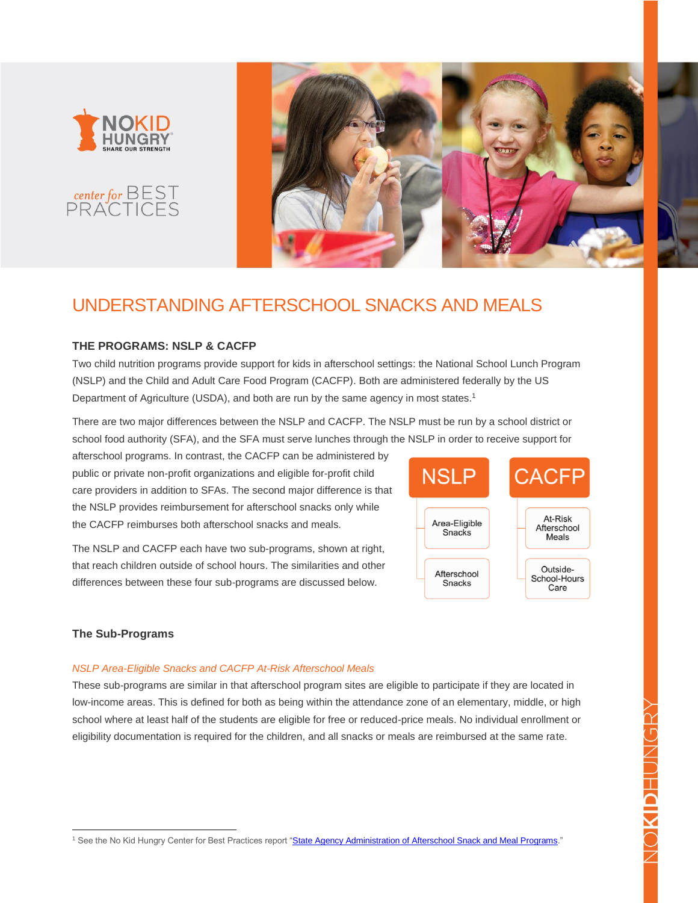





# UNDERSTANDING AFTERSCHOOL SNACKS AND MEALS

# **THE PROGRAMS: NSLP & CACFP**

Two child nutrition programs provide support for kids in afterschool settings: the National School Lunch Program (NSLP) and the Child and Adult Care Food Program (CACFP). Both are administered federally by the US Department of Agriculture (USDA), and both are run by the same agency in most states.<sup>1</sup>

There are two major differences between the NSLP and CACFP. The NSLP must be run by a school district or school food authority (SFA), and the SFA must serve lunches through the NSLP in order to receive support for

afterschool programs. In contrast, the CACFP can be administered by public or private non-profit organizations and eligible for-profit child care providers in addition to SFAs. The second major difference is that the NSLP provides reimbursement for afterschool snacks only while the CACFP reimburses both afterschool snacks and meals.

The NSLP and CACFP each have two sub-programs, shown at right, that reach children outside of school hours. The similarities and other differences between these four sub-programs are discussed below.



# **The Sub-Programs**

<u>.</u>

## *NSLP Area-Eligible Snacks and CACFP At-Risk Afterschool Meals*

These sub-programs are similar in that afterschool program sites are eligible to participate if they are located in low-income areas. This is defined for both as being within the attendance zone of an elementary, middle, or high school where at least half of the students are eligible for free or reduced-price meals. No individual enrollment or eligibility documentation is required for the children, and all snacks or meals are reimbursed at the same rate.

<sup>&</sup>lt;sup>1</sup> See the No Kid Hungry Center for Best Practices report ["State Agency Administration of Afterschool Snack and Meal Programs.](https://bestpractices.nokidhungry.org/afterschool-snacks-meals#dialog_1654)"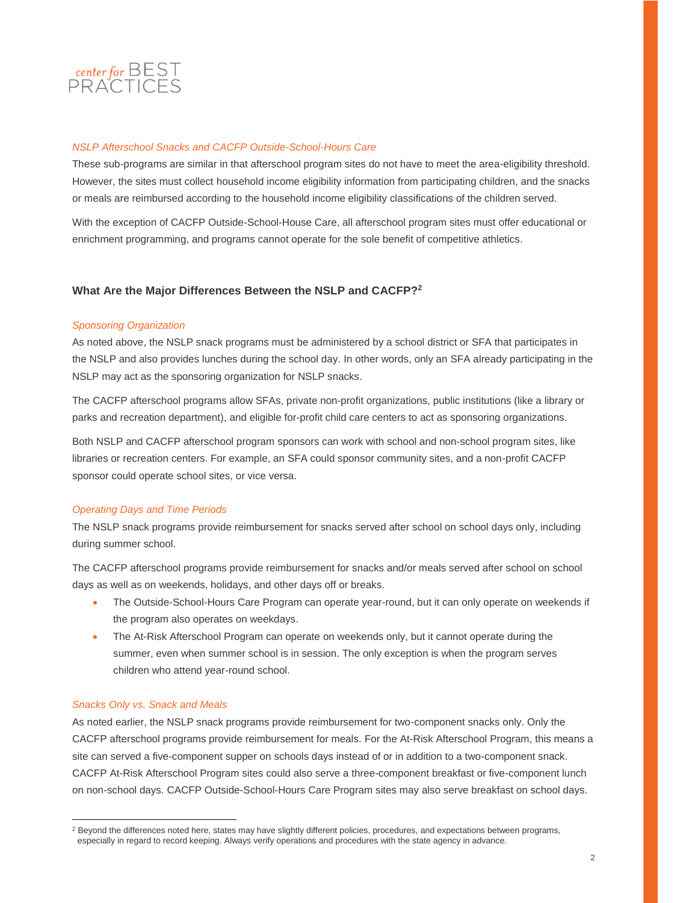

## *NSLP Afterschool Snacks and CACFP Outside-School-Hours Care*

These sub-programs are similar in that afterschool program sites do not have to meet the area-eligibility threshold. However, the sites must collect household income eligibility information from participating children, and the snacks or meals are reimbursed according to the household income eligibility classifications of the children served.

With the exception of CACFP Outside-School-House Care, all afterschool program sites must offer educational or enrichment programming, and programs cannot operate for the sole benefit of competitive athletics.

## **What Are the Major Differences Between the NSLP and CACFP? 2**

#### *Sponsoring Organization*

As noted above, the NSLP snack programs must be administered by a school district or SFA that participates in the NSLP and also provides lunches during the school day. In other words, only an SFA already participating in the NSLP may act as the sponsoring organization for NSLP snacks.

The CACFP afterschool programs allow SFAs, private non-profit organizations, public institutions (like a library or parks and recreation department), and eligible for-profit child care centers to act as sponsoring organizations.

Both NSLP and CACFP afterschool program sponsors can work with school and non-school program sites, like libraries or recreation centers. For example, an SFA could sponsor community sites, and a non-profit CACFP sponsor could operate school sites, or vice versa.

### *Operating Days and Time Periods*

The NSLP snack programs provide reimbursement for snacks served after school on school days only, including during summer school.

The CACFP afterschool programs provide reimbursement for snacks and/or meals served after school on school days as well as on weekends, holidays, and other days off or breaks.

- The Outside-School-Hours Care Program can operate year-round, but it can only operate on weekends if the program also operates on weekdays.
- The At-Risk Afterschool Program can operate on weekends only, but it cannot operate during the summer, even when summer school is in session. The only exception is when the program serves children who attend year-round school.

#### *Snacks Only vs. Snack and Meals*

<u>.</u>

As noted earlier, the NSLP snack programs provide reimbursement for two-component snacks only. Only the CACFP afterschool programs provide reimbursement for meals. For the At-Risk Afterschool Program, this means a site can served a five-component supper on schools days instead of or in addition to a two-component snack. CACFP At-Risk Afterschool Program sites could also serve a three-component breakfast or five-component lunch on non-school days. CACFP Outside-School-Hours Care Program sites may also serve breakfast on school days.

<sup>&</sup>lt;sup>2</sup> Beyond the differences noted here, states may have slightly different policies, procedures, and expectations between programs, especially in regard to record keeping. Always verify operations and procedures with the state agency in advance.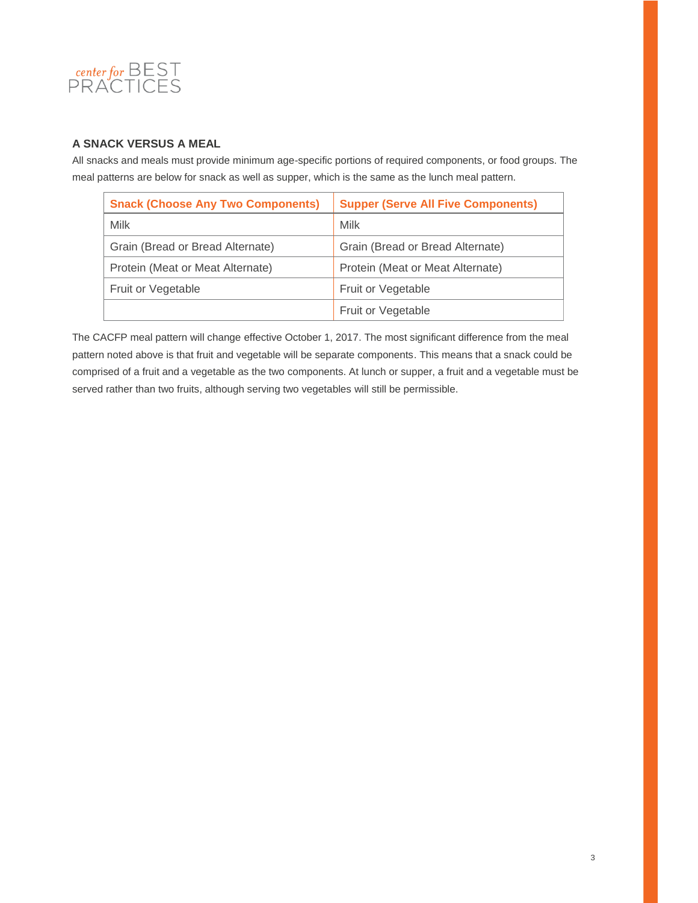

# **A SNACK VERSUS A MEAL**

All snacks and meals must provide minimum age-specific portions of required components, or food groups. The meal patterns are below for snack as well as supper, which is the same as the lunch meal pattern.

| <b>Snack (Choose Any Two Components)</b> | <b>Supper (Serve All Five Components)</b> |
|------------------------------------------|-------------------------------------------|
| Milk                                     | Milk                                      |
| Grain (Bread or Bread Alternate)         | Grain (Bread or Bread Alternate)          |
| Protein (Meat or Meat Alternate)         | Protein (Meat or Meat Alternate)          |
| Fruit or Vegetable                       | Fruit or Vegetable                        |
|                                          | Fruit or Vegetable                        |

The CACFP meal pattern will change effective October 1, 2017. The most significant difference from the meal pattern noted above is that fruit and vegetable will be separate components. This means that a snack could be comprised of a fruit and a vegetable as the two components. At lunch or supper, a fruit and a vegetable must be served rather than two fruits, although serving two vegetables will still be permissible.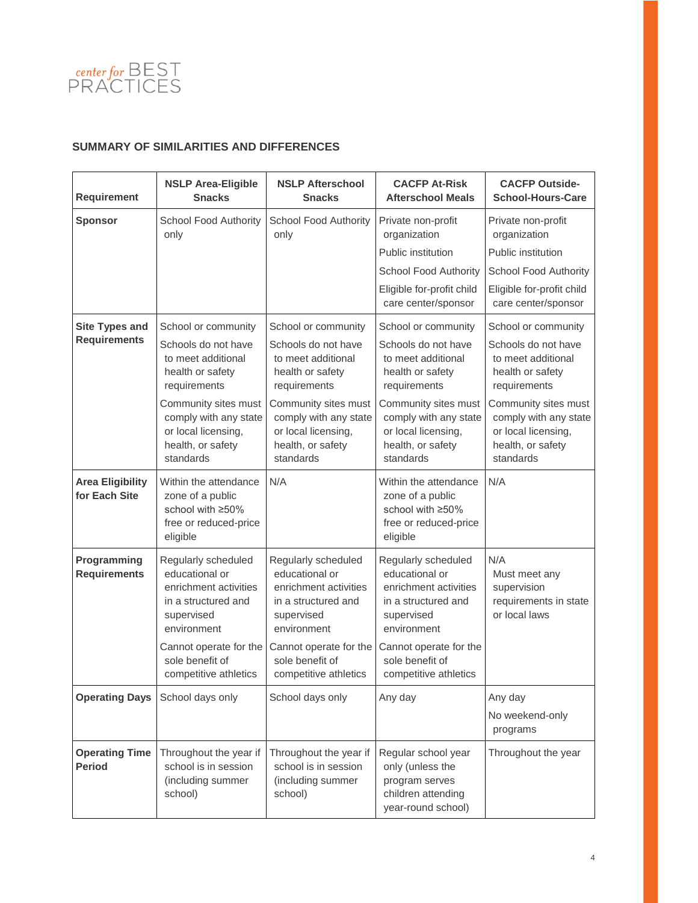

# **SUMMARY OF SIMILARITIES AND DIFFERENCES**

| <b>Requirement</b>                       | <b>NSLP Area-Eligible</b><br><b>Snacks</b>                                                                                                                      | <b>NSLP Afterschool</b><br><b>Snacks</b>                                                                                                                        | <b>CACFP At-Risk</b><br><b>Afterschool Meals</b>                                                                                                                | <b>CACFP Outside-</b><br><b>School-Hours-Care</b>                                                      |
|------------------------------------------|-----------------------------------------------------------------------------------------------------------------------------------------------------------------|-----------------------------------------------------------------------------------------------------------------------------------------------------------------|-----------------------------------------------------------------------------------------------------------------------------------------------------------------|--------------------------------------------------------------------------------------------------------|
| <b>Sponsor</b>                           | <b>School Food Authority</b><br>only                                                                                                                            | School Food Authority<br>only                                                                                                                                   | Private non-profit<br>organization                                                                                                                              | Private non-profit<br>organization                                                                     |
|                                          |                                                                                                                                                                 |                                                                                                                                                                 | Public institution                                                                                                                                              | Public institution                                                                                     |
|                                          |                                                                                                                                                                 |                                                                                                                                                                 | <b>School Food Authority</b>                                                                                                                                    | <b>School Food Authority</b>                                                                           |
|                                          |                                                                                                                                                                 |                                                                                                                                                                 | Eligible for-profit child<br>care center/sponsor                                                                                                                | Eligible for-profit child<br>care center/sponsor                                                       |
| <b>Site Types and</b>                    | School or community                                                                                                                                             | School or community                                                                                                                                             | School or community                                                                                                                                             | School or community                                                                                    |
| <b>Requirements</b>                      | Schools do not have<br>to meet additional<br>health or safety<br>requirements                                                                                   | Schools do not have<br>to meet additional<br>health or safety<br>requirements                                                                                   | Schools do not have<br>to meet additional<br>health or safety<br>requirements                                                                                   | Schools do not have<br>to meet additional<br>health or safety<br>requirements                          |
|                                          | Community sites must<br>comply with any state<br>or local licensing,<br>health, or safety<br>standards                                                          | Community sites must<br>comply with any state<br>or local licensing,<br>health, or safety<br>standards                                                          | Community sites must<br>comply with any state<br>or local licensing,<br>health, or safety<br>standards                                                          | Community sites must<br>comply with any state<br>or local licensing,<br>health, or safety<br>standards |
| <b>Area Eligibility</b><br>for Each Site | Within the attendance<br>zone of a public<br>school with ≥50%<br>free or reduced-price<br>eligible                                                              | N/A                                                                                                                                                             | Within the attendance<br>zone of a public<br>school with ≥50%<br>free or reduced-price<br>eligible                                                              | N/A                                                                                                    |
| Programming<br><b>Requirements</b>       | Regularly scheduled<br>educational or<br>enrichment activities<br>in a structured and<br>supervised<br>environment<br>Cannot operate for the<br>sole benefit of | Regularly scheduled<br>educational or<br>enrichment activities<br>in a structured and<br>supervised<br>environment<br>Cannot operate for the<br>sole benefit of | Regularly scheduled<br>educational or<br>enrichment activities<br>in a structured and<br>supervised<br>environment<br>Cannot operate for the<br>sole benefit of | N/A<br>Must meet any<br>supervision<br>requirements in state<br>or local laws                          |
|                                          | competitive athletics                                                                                                                                           | competitive athletics                                                                                                                                           | competitive athletics                                                                                                                                           |                                                                                                        |
| <b>Operating Days</b>                    | School days only                                                                                                                                                | School days only                                                                                                                                                | Any day                                                                                                                                                         | Any day                                                                                                |
|                                          |                                                                                                                                                                 |                                                                                                                                                                 |                                                                                                                                                                 | No weekend-only<br>programs                                                                            |
| <b>Operating Time</b><br><b>Period</b>   | Throughout the year if<br>school is in session<br>(including summer<br>school)                                                                                  | Throughout the year if<br>school is in session<br>(including summer<br>school)                                                                                  | Regular school year<br>only (unless the<br>program serves<br>children attending<br>year-round school)                                                           | Throughout the year                                                                                    |